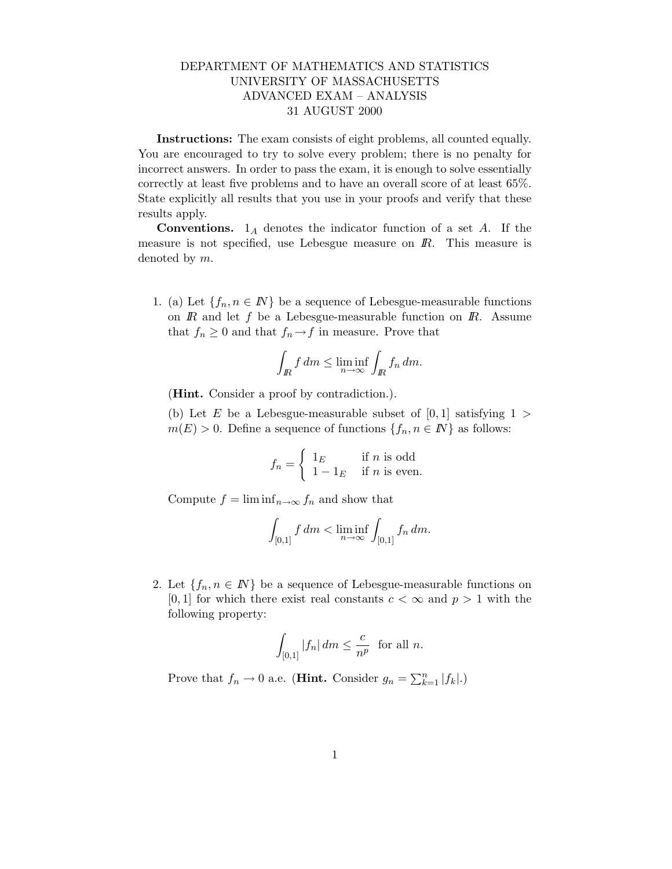## DEPARTMENT OF MATHEMATICS AND STATISTICS UNIVERSITY OF MASSACHUSETTS ADVANCED EXAM – ANALYSIS 31 AUGUST 2000

Instructions: The exam consists of eight problems, all counted equally. You are encouraged to try to solve every problem; there is no penalty for incorrect answers. In order to pass the exam, it is enough to solve essentially correctly at least five problems and to have an overall score of at least 65%. State explicitly all results that you use in your proofs and verify that these results apply.

**Conventions.**  $1_A$  denotes the indicator function of a set A. If the measure is not specified, use Lebesgue measure on  $\mathbb{R}$ . This measure is denoted by m.

1. (a) Let  $\{f_n, n \in \mathbb{N}\}\$  be a sequence of Lebesgue-measurable functions on  $\mathbb R$  and let  $f$  be a Lebesgue-measurable function on  $\mathbb R$ . Assume that  $f_n \geq 0$  and that  $f_n \to f$  in measure. Prove that

$$
\int_{I\!\!R} f \, dm \le \liminf_{n \to \infty} \int_{I\!\!R} f_n \, dm.
$$

(Hint. Consider a proof by contradiction.).

(b) Let E be a Lebesgue-measurable subset of  $[0, 1]$  satisfying  $1 >$  $m(E) > 0$ . Define a sequence of functions  $\{f_n, n \in \mathbb{N}\}\$ as follows:

$$
f_n = \begin{cases} 1_E & \text{if } n \text{ is odd} \\ 1 - 1_E & \text{if } n \text{ is even.} \end{cases}
$$

Compute  $f = \liminf_{n \to \infty} f_n$  and show that

$$
\int_{[0,1]} f dm < \liminf_{n \to \infty} \int_{[0,1]} f_n dm.
$$

2. Let  $\{f_n, n \in \mathbb{N}\}\$ be a sequence of Lebesgue-measurable functions on [0, 1] for which there exist real constants  $c < \infty$  and  $p > 1$  with the following property:

$$
\int_{[0,1]} |f_n| \, dm \le \frac{c}{n^p} \quad \text{for all } n.
$$

Prove that  $f_n \to 0$  a.e. (**Hint.** Consider  $g_n = \sum_{k=1}^n |f_k|$ .)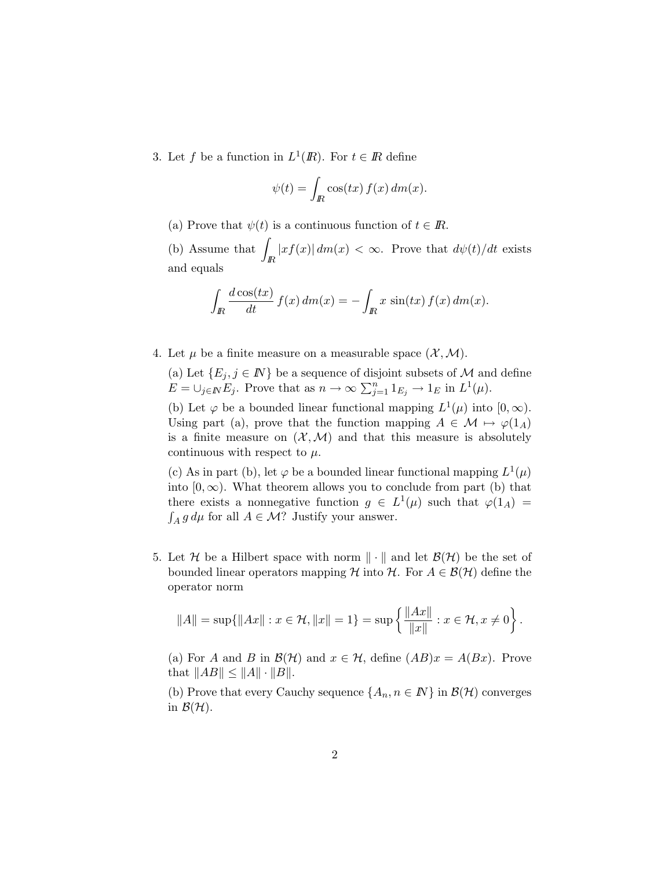3. Let f be a function in  $L^1(\mathbb{R})$ . For  $t \in \mathbb{R}$  define

$$
\psi(t) = \int_{I\!\!R} \cos(tx) f(x) \, dm(x).
$$

(a) Prove that  $\psi(t)$  is a continuous function of  $t \in \mathbb{R}$ .

(b) Assume that  $\int$ IR  $|x f(x)| dm(x) < \infty$ . Prove that  $d\psi(t)/dt$  exists and equals

$$
\int_{\mathbb{R}} \frac{d\cos(tx)}{dt} f(x) dm(x) = -\int_{\mathbb{R}} x \sin(tx) f(x) dm(x).
$$

4. Let  $\mu$  be a finite measure on a measurable space  $(\mathcal{X}, \mathcal{M})$ .

(a) Let  $\{E_j, j \in \mathbb{N}\}\$ be a sequence of disjoint subsets of M and define  $E = \bigcup_{j \in \mathbb{N}} E_j$ . Prove that as  $n \to \infty$   $\sum_{j=1}^n 1_{E_j} \to 1_E$  in  $L^1(\mu)$ .

(b) Let  $\varphi$  be a bounded linear functional mapping  $L^1(\mu)$  into  $[0,\infty)$ . Using part (a), prove that the function mapping  $A \in \mathcal{M} \mapsto \varphi(1_A)$ is a finite measure on  $(\mathcal{X}, \mathcal{M})$  and that this measure is absolutely continuous with respect to  $\mu$ .

(c) As in part (b), let  $\varphi$  be a bounded linear functional mapping  $L^1(\mu)$ into  $[0, \infty)$ . What theorem allows you to conclude from part (b) that there exists a nonnegative function  $g \in L^1(\mu)$  such that  $\varphi(1_A) =$  $\int_A g d\mu$  for all  $A \in \mathcal{M}$ ? Justify your answer.

5. Let H be a Hilbert space with norm  $\|\cdot\|$  and let  $\mathcal{B}(\mathcal{H})$  be the set of bounded linear operators mapping H into H. For  $A \in \mathcal{B}(\mathcal{H})$  define the operator norm

$$
||A|| = \sup{||Ax|| : x \in \mathcal{H}, ||x|| = 1} = \sup \left\{ \frac{||Ax||}{||x||} : x \in \mathcal{H}, x \neq 0 \right\}.
$$

(a) For A and B in  $\mathcal{B}(\mathcal{H})$  and  $x \in \mathcal{H}$ , define  $(AB)x = A(Bx)$ . Prove that  $||AB|| \le ||A|| \cdot ||B||$ .

(b) Prove that every Cauchy sequence  $\{A_n, n \in \mathbb{N}\}\$ in  $\mathcal{B}(\mathcal{H})$  converges in  $\mathcal{B}(\mathcal{H})$ .